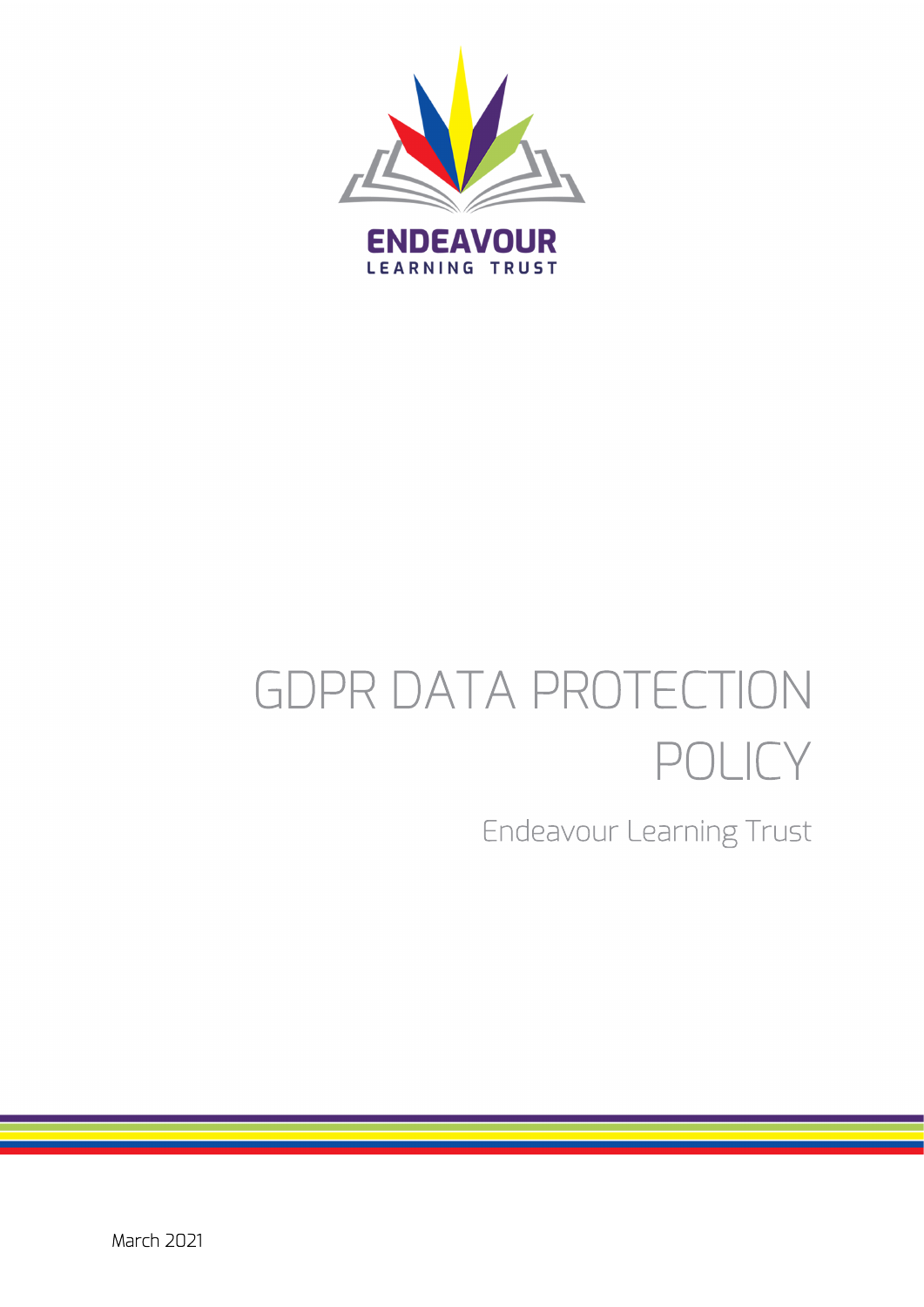

# GDPR DATA PROTECTION POLICY

Endeavour Learning Trust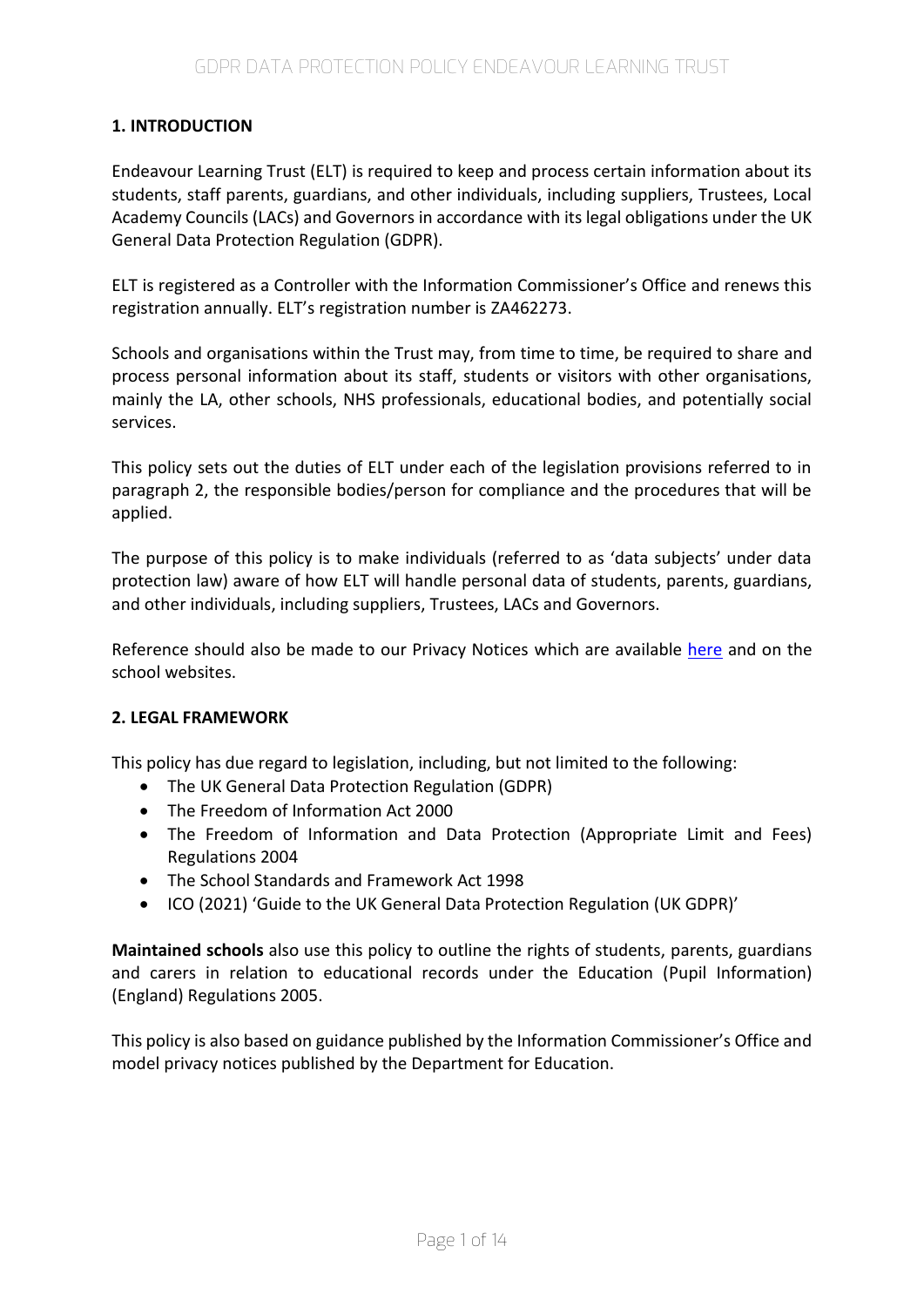# **1. INTRODUCTION**

Endeavour Learning Trust (ELT) is required to keep and process certain information about its students, staff parents, guardians, and other individuals, including suppliers, Trustees, Local Academy Councils (LACs) and Governors in accordance with its legal obligations under the UK General Data Protection Regulation (GDPR).

ELT is registered as a Controller with the Information Commissioner's Office and renews this registration annually. ELT's registration number is ZA462273.

Schools and organisations within the Trust may, from time to time, be required to share and process personal information about its staff, students or visitors with other organisations, mainly the LA, other schools, NHS professionals, educational bodies, and potentially social services.

This policy sets out the duties of ELT under each of the legislation provisions referred to in paragraph 2, the responsible bodies/person for compliance and the procedures that will be applied.

The purpose of this policy is to make individuals (referred to as 'data subjects' under data protection law) aware of how ELT will handle personal data of students, parents, guardians, and other individuals, including suppliers, Trustees, LACs and Governors.

Reference should also be made to our Privacy Notices which are available [here](https://endeavourlearning.org/about/trust-policies) and on the school websites.

### **2. LEGAL FRAMEWORK**

This policy has due regard to legislation, including, but not limited to the following:

- The UK General Data Protection Regulation (GDPR)
- The Freedom of Information Act 2000
- The Freedom of Information and Data Protection (Appropriate Limit and Fees) Regulations 2004
- The School Standards and Framework Act 1998
- ICO (2021) 'Guide to the UK General Data Protection Regulation (UK GDPR)'

**Maintained schools** also use this policy to outline the rights of students, parents, guardians and carers in relation to educational records under the Education (Pupil Information) (England) Regulations 2005.

This policy is also based on guidance published by the Information Commissioner's Office and model privacy notices published by the Department for Education.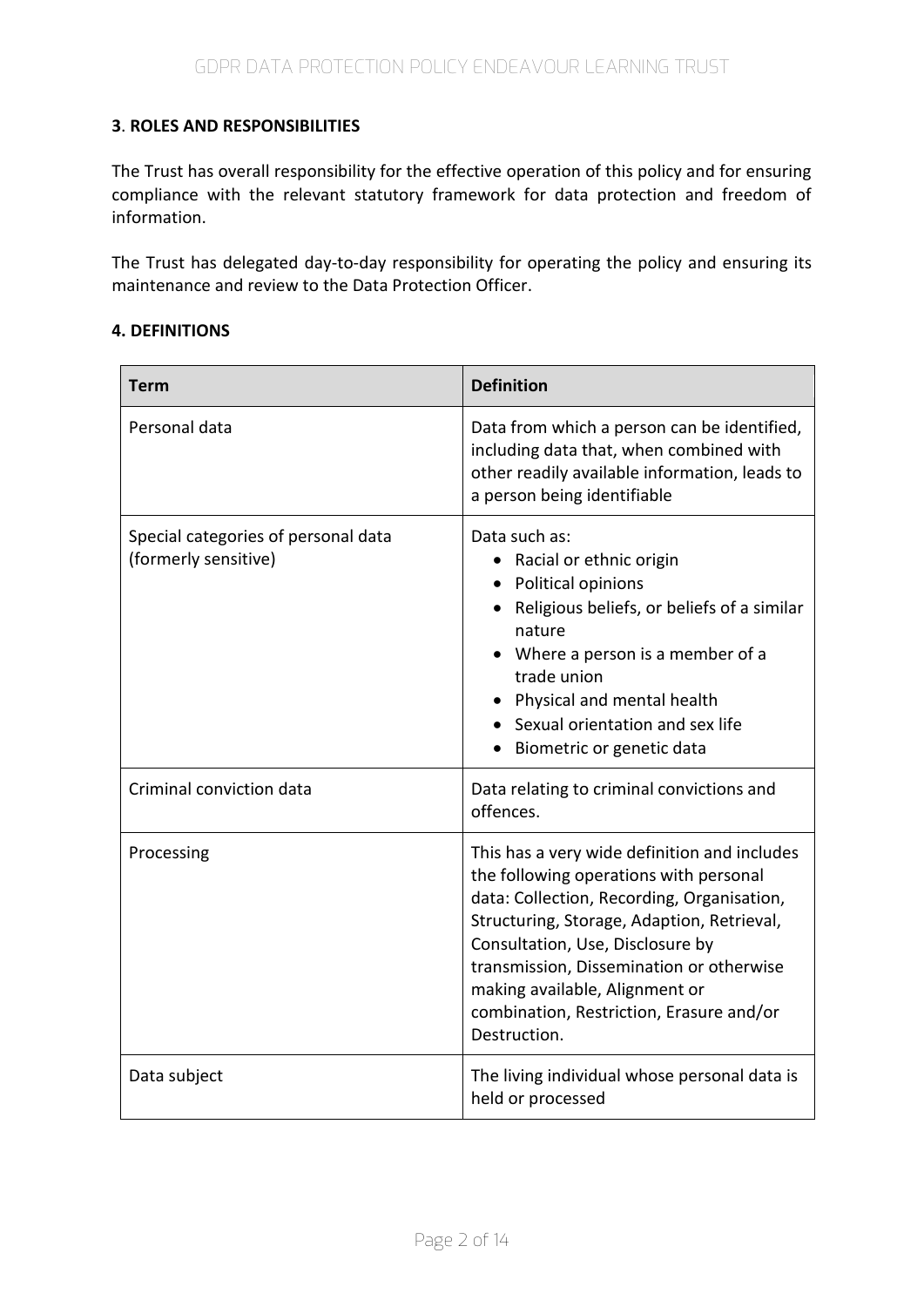# **3**. **ROLES AND RESPONSIBILITIES**

The Trust has overall responsibility for the effective operation of this policy and for ensuring compliance with the relevant statutory framework for data protection and freedom of information.

The Trust has delegated day-to-day responsibility for operating the policy and ensuring its maintenance and review to the Data Protection Officer.

### **4. DEFINITIONS**

| Term                                                        | <b>Definition</b>                                                                                                                                                                                                                                                                                                                                                |  |  |
|-------------------------------------------------------------|------------------------------------------------------------------------------------------------------------------------------------------------------------------------------------------------------------------------------------------------------------------------------------------------------------------------------------------------------------------|--|--|
| Personal data                                               | Data from which a person can be identified,<br>including data that, when combined with<br>other readily available information, leads to<br>a person being identifiable                                                                                                                                                                                           |  |  |
| Special categories of personal data<br>(formerly sensitive) | Data such as:<br>• Racial or ethnic origin<br>• Political opinions<br>Religious beliefs, or beliefs of a similar<br>nature<br>• Where a person is a member of a<br>trade union<br>Physical and mental health<br>• Sexual orientation and sex life<br>Biometric or genetic data                                                                                   |  |  |
| Criminal conviction data                                    | Data relating to criminal convictions and<br>offences.                                                                                                                                                                                                                                                                                                           |  |  |
| Processing                                                  | This has a very wide definition and includes<br>the following operations with personal<br>data: Collection, Recording, Organisation,<br>Structuring, Storage, Adaption, Retrieval,<br>Consultation, Use, Disclosure by<br>transmission, Dissemination or otherwise<br>making available, Alignment or<br>combination, Restriction, Erasure and/or<br>Destruction. |  |  |
| Data subject                                                | The living individual whose personal data is<br>held or processed                                                                                                                                                                                                                                                                                                |  |  |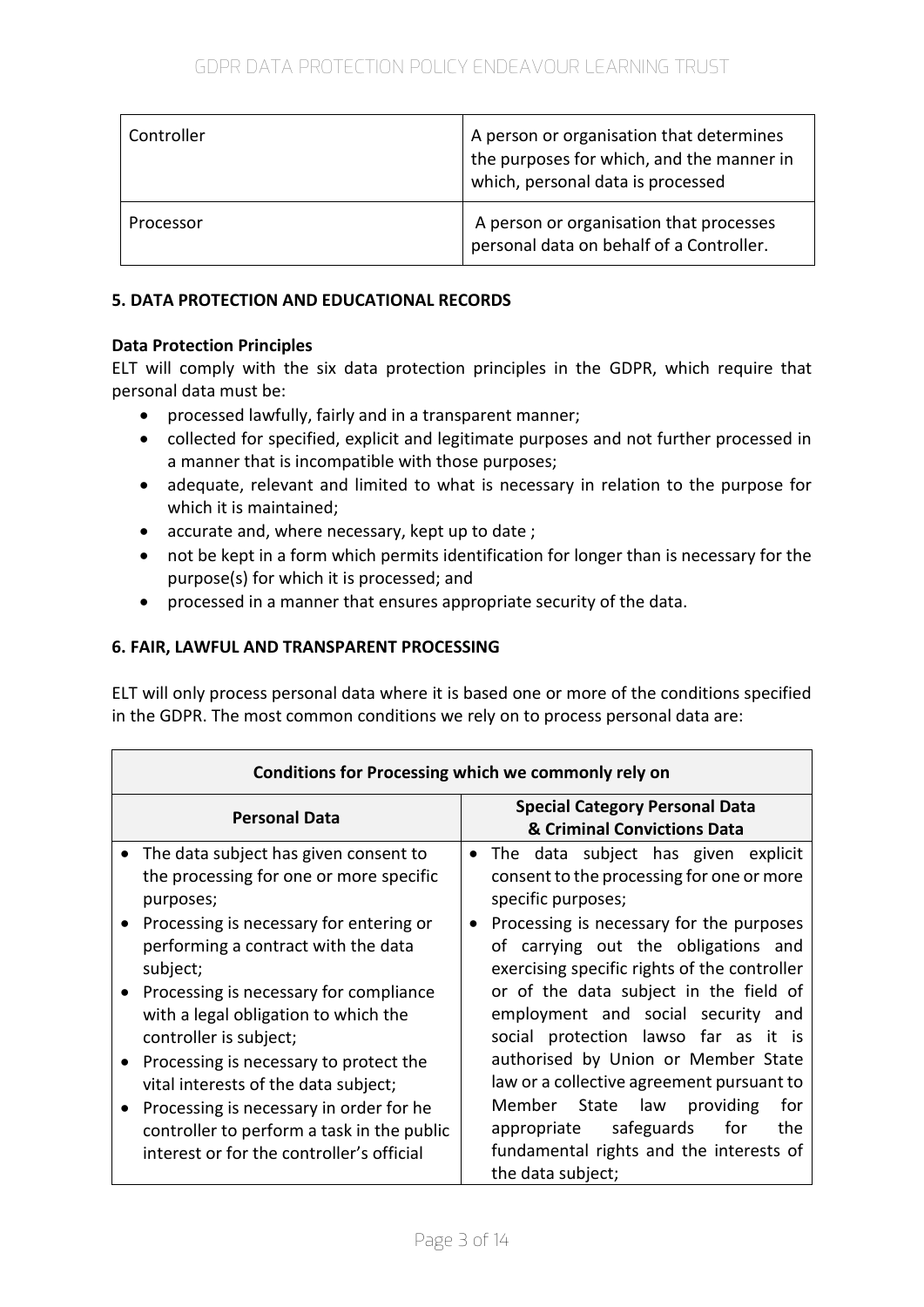| Controller | A person or organisation that determines<br>the purposes for which, and the manner in<br>which, personal data is processed |
|------------|----------------------------------------------------------------------------------------------------------------------------|
| Processor  | A person or organisation that processes<br>personal data on behalf of a Controller.                                        |

# **5. DATA PROTECTION AND EDUCATIONAL RECORDS**

## **Data Protection Principles**

ELT will comply with the six data protection principles in the GDPR, which require that personal data must be:

- processed lawfully, fairly and in a transparent manner;
- collected for specified, explicit and legitimate purposes and not further processed in a manner that is incompatible with those purposes;
- adequate, relevant and limited to what is necessary in relation to the purpose for which it is maintained;
- accurate and, where necessary, kept up to date;
- not be kept in a form which permits identification for longer than is necessary for the purpose(s) for which it is processed; and
- processed in a manner that ensures appropriate security of the data.

# **6. FAIR, LAWFUL AND TRANSPARENT PROCESSING**

ELT will only process personal data where it is based one or more of the conditions specified in the GDPR. The most common conditions we rely on to process personal data are:

| Conditions for Processing which we commonly rely on                                                                                                                                                                                                                                                                                                                                                                                                                                                                                          |                                                                                                                                                                                                                                                                                                                                                                                                                                                                                                                                                                                                                                          |  |  |
|----------------------------------------------------------------------------------------------------------------------------------------------------------------------------------------------------------------------------------------------------------------------------------------------------------------------------------------------------------------------------------------------------------------------------------------------------------------------------------------------------------------------------------------------|------------------------------------------------------------------------------------------------------------------------------------------------------------------------------------------------------------------------------------------------------------------------------------------------------------------------------------------------------------------------------------------------------------------------------------------------------------------------------------------------------------------------------------------------------------------------------------------------------------------------------------------|--|--|
| <b>Personal Data</b>                                                                                                                                                                                                                                                                                                                                                                                                                                                                                                                         | <b>Special Category Personal Data</b><br>& Criminal Convictions Data                                                                                                                                                                                                                                                                                                                                                                                                                                                                                                                                                                     |  |  |
| The data subject has given consent to<br>$\bullet$<br>the processing for one or more specific<br>purposes;<br>Processing is necessary for entering or<br>performing a contract with the data<br>subject;<br>Processing is necessary for compliance<br>with a legal obligation to which the<br>controller is subject;<br>Processing is necessary to protect the<br>vital interests of the data subject;<br>Processing is necessary in order for he<br>controller to perform a task in the public<br>interest or for the controller's official | The data subject has given explicit<br>$\bullet$<br>consent to the processing for one or more<br>specific purposes;<br>Processing is necessary for the purposes<br>$\bullet$<br>of carrying out the obligations and<br>exercising specific rights of the controller<br>or of the data subject in the field of<br>employment and social security and<br>social protection lawso far as it is<br>authorised by Union or Member State<br>law or a collective agreement pursuant to<br>for<br>Member<br>State<br>law<br>providing<br>safeguards<br>the<br>appropriate<br>for<br>fundamental rights and the interests of<br>the data subject; |  |  |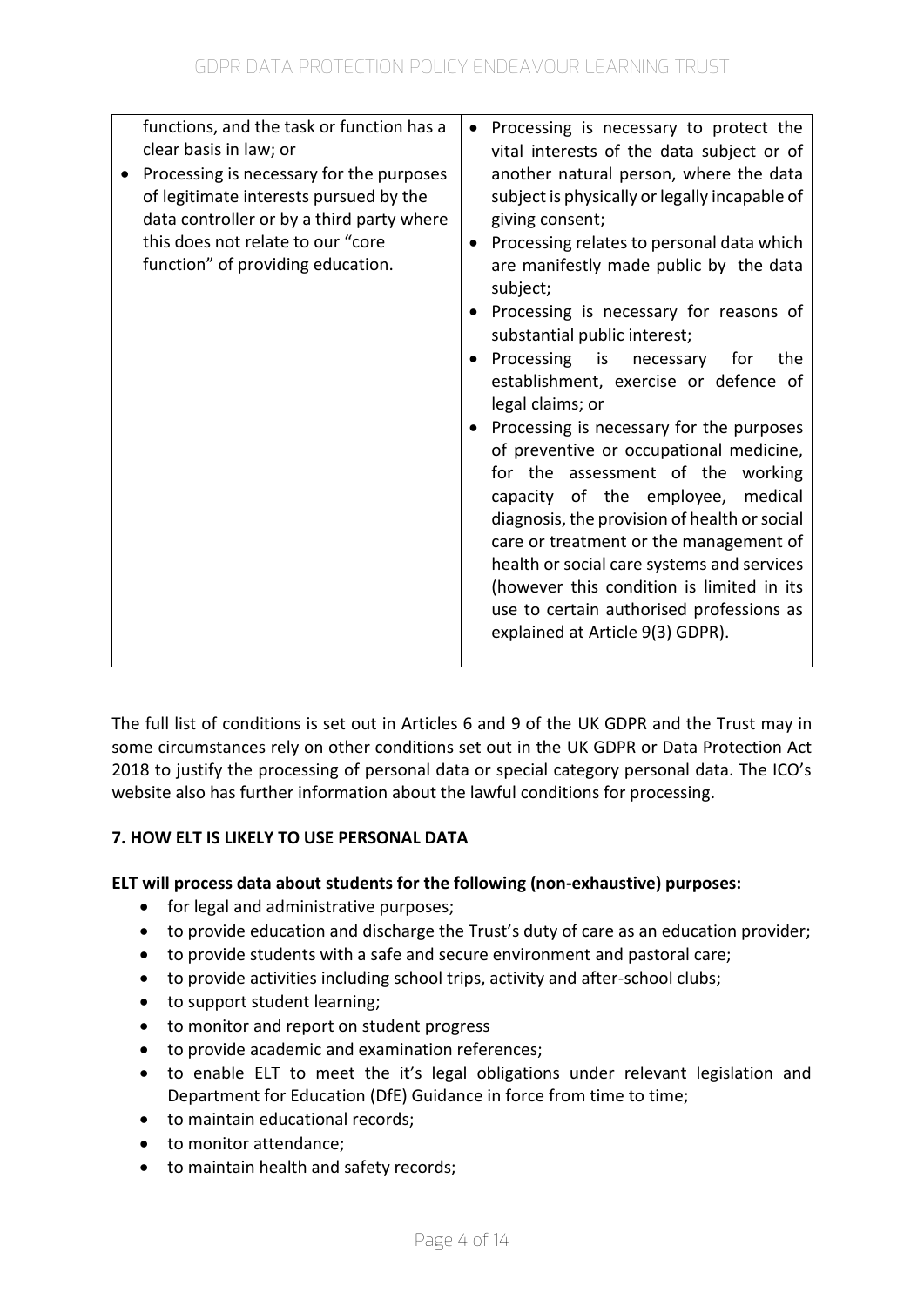| functions, and the task or function has a<br>clear basis in law; or<br>Processing is necessary for the purposes<br>of legitimate interests pursued by the<br>data controller or by a third party where<br>this does not relate to our "core<br>function" of providing education. | Processing is necessary to protect the<br>$\bullet$<br>vital interests of the data subject or of<br>another natural person, where the data<br>subject is physically or legally incapable of<br>giving consent;<br>Processing relates to personal data which<br>are manifestly made public by the data<br>subject;<br>Processing is necessary for reasons of<br>substantial public interest;<br>Processing is necessary<br>the<br>for<br>$\bullet$<br>establishment, exercise or defence of<br>legal claims; or<br>Processing is necessary for the purposes<br>of preventive or occupational medicine,<br>for the assessment of the working<br>capacity of the employee, medical<br>diagnosis, the provision of health or social<br>care or treatment or the management of<br>health or social care systems and services<br>(however this condition is limited in its<br>use to certain authorised professions as<br>explained at Article 9(3) GDPR). |
|----------------------------------------------------------------------------------------------------------------------------------------------------------------------------------------------------------------------------------------------------------------------------------|------------------------------------------------------------------------------------------------------------------------------------------------------------------------------------------------------------------------------------------------------------------------------------------------------------------------------------------------------------------------------------------------------------------------------------------------------------------------------------------------------------------------------------------------------------------------------------------------------------------------------------------------------------------------------------------------------------------------------------------------------------------------------------------------------------------------------------------------------------------------------------------------------------------------------------------------------|
|----------------------------------------------------------------------------------------------------------------------------------------------------------------------------------------------------------------------------------------------------------------------------------|------------------------------------------------------------------------------------------------------------------------------------------------------------------------------------------------------------------------------------------------------------------------------------------------------------------------------------------------------------------------------------------------------------------------------------------------------------------------------------------------------------------------------------------------------------------------------------------------------------------------------------------------------------------------------------------------------------------------------------------------------------------------------------------------------------------------------------------------------------------------------------------------------------------------------------------------------|

The full list of conditions is set out in Articles 6 and 9 of the UK GDPR and the Trust may in some circumstances rely on other conditions set out in the UK GDPR or Data Protection Act 2018 to justify the processing of personal data or special category personal data. The ICO's website also has further information about the lawful conditions for processing.

# **7. HOW ELT IS LIKELY TO USE PERSONAL DATA**

## **ELT will process data about students for the following (non-exhaustive) purposes:**

- for legal and administrative purposes;
- to provide education and discharge the Trust's duty of care as an education provider;
- to provide students with a safe and secure environment and pastoral care;
- to provide activities including school trips, activity and after-school clubs;
- to support student learning;
- to monitor and report on student progress
- to provide academic and examination references;
- to enable ELT to meet the it's legal obligations under relevant legislation and Department for Education (DfE) Guidance in force from time to time;
- to maintain educational records;
- to monitor attendance;
- to maintain health and safety records;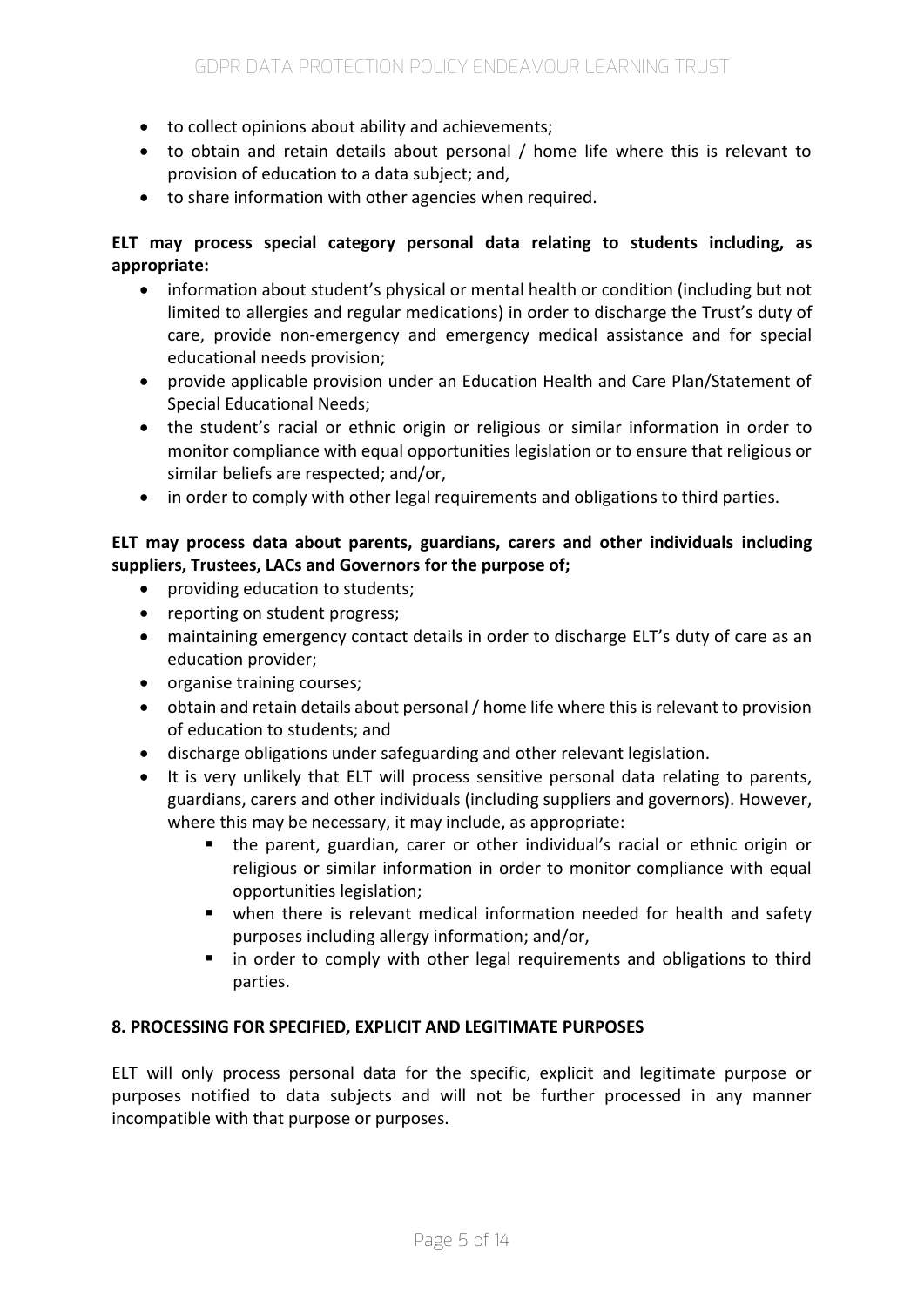- to collect opinions about ability and achievements;
- to obtain and retain details about personal / home life where this is relevant to provision of education to a data subject; and,
- to share information with other agencies when required.

# **ELT may process special category personal data relating to students including, as appropriate:**

- information about student's physical or mental health or condition (including but not limited to allergies and regular medications) in order to discharge the Trust's duty of care, provide non-emergency and emergency medical assistance and for special educational needs provision;
- provide applicable provision under an Education Health and Care Plan/Statement of Special Educational Needs;
- the student's racial or ethnic origin or religious or similar information in order to monitor compliance with equal opportunities legislation or to ensure that religious or similar beliefs are respected; and/or,
- in order to comply with other legal requirements and obligations to third parties.

# **ELT may process data about parents, guardians, carers and other individuals including suppliers, Trustees, LACs and Governors for the purpose of;**

- providing education to students:
- reporting on student progress;
- maintaining emergency contact details in order to discharge ELT's duty of care as an education provider;
- organise training courses;
- obtain and retain details about personal / home life where this is relevant to provision of education to students; and
- discharge obligations under safeguarding and other relevant legislation.
- It is very unlikely that ELT will process sensitive personal data relating to parents, guardians, carers and other individuals (including suppliers and governors). However, where this may be necessary, it may include, as appropriate:
	- the parent, guardian, carer or other individual's racial or ethnic origin or religious or similar information in order to monitor compliance with equal opportunities legislation;
	- when there is relevant medical information needed for health and safety purposes including allergy information; and/or,
	- in order to comply with other legal requirements and obligations to third parties.

## **8. PROCESSING FOR SPECIFIED, EXPLICIT AND LEGITIMATE PURPOSES**

ELT will only process personal data for the specific, explicit and legitimate purpose or purposes notified to data subjects and will not be further processed in any manner incompatible with that purpose or purposes.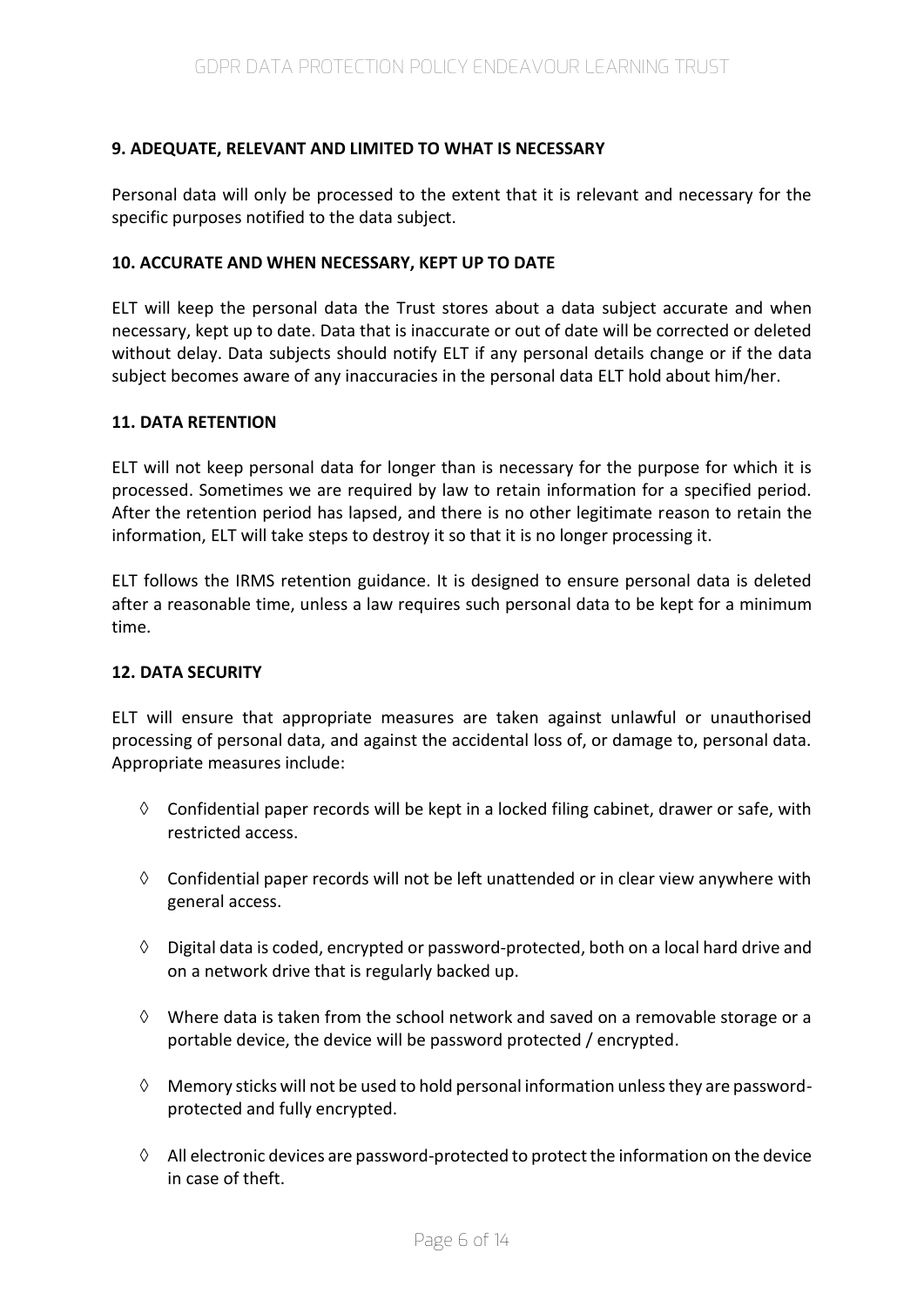## **9. ADEQUATE, RELEVANT AND LIMITED TO WHAT IS NECESSARY**

Personal data will only be processed to the extent that it is relevant and necessary for the specific purposes notified to the data subject.

## **10. ACCURATE AND WHEN NECESSARY, KEPT UP TO DATE**

ELT will keep the personal data the Trust stores about a data subject accurate and when necessary, kept up to date. Data that is inaccurate or out of date will be corrected or deleted without delay. Data subjects should notify ELT if any personal details change or if the data subject becomes aware of any inaccuracies in the personal data ELT hold about him/her.

## **11. DATA RETENTION**

ELT will not keep personal data for longer than is necessary for the purpose for which it is processed. Sometimes we are required by law to retain information for a specified period. After the retention period has lapsed, and there is no other legitimate reason to retain the information, ELT will take steps to destroy it so that it is no longer processing it.

ELT follows the IRMS retention guidance. It is designed to ensure personal data is deleted after a reasonable time, unless a law requires such personal data to be kept for a minimum time.

## **12. DATA SECURITY**

ELT will ensure that appropriate measures are taken against unlawful or unauthorised processing of personal data, and against the accidental loss of, or damage to, personal data. Appropriate measures include:

- $\Diamond$  Confidential paper records will be kept in a locked filing cabinet, drawer or safe, with restricted access.
- $\Diamond$  Confidential paper records will not be left unattended or in clear view anywhere with general access.
- $\Diamond$  Digital data is coded, encrypted or password-protected, both on a local hard drive and on a network drive that is regularly backed up.
- $\Diamond$  Where data is taken from the school network and saved on a removable storage or a portable device, the device will be password protected / encrypted.
- $\Diamond$  Memory sticks will not be used to hold personal information unless they are passwordprotected and fully encrypted.
- $\Diamond$  All electronic devices are password-protected to protect the information on the device in case of theft.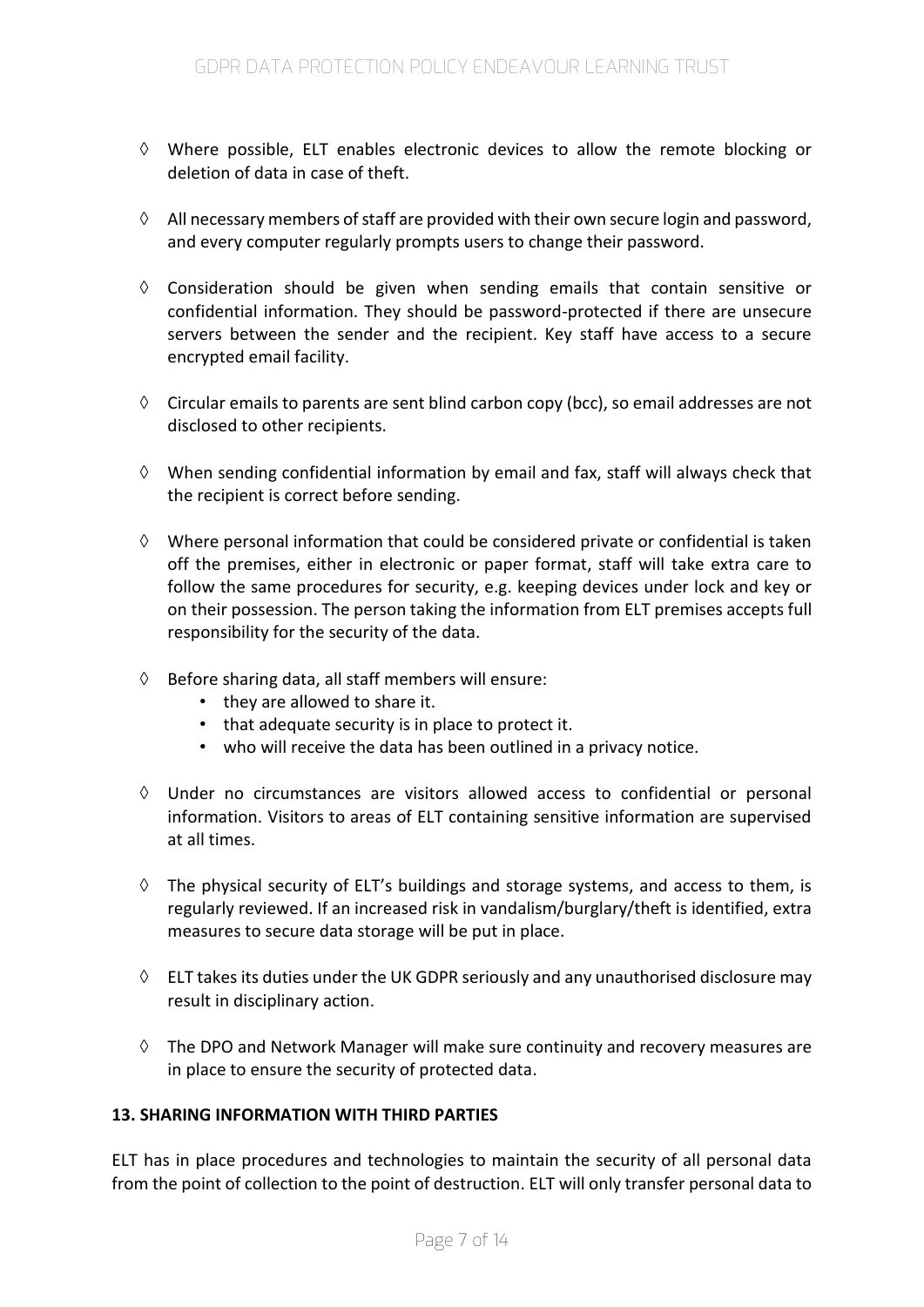- $\Diamond$  Where possible, ELT enables electronic devices to allow the remote blocking or deletion of data in case of theft.
- $\Diamond$  All necessary members of staff are provided with their own secure login and password, and every computer regularly prompts users to change their password.
- $\Diamond$  Consideration should be given when sending emails that contain sensitive or confidential information. They should be password-protected if there are unsecure servers between the sender and the recipient. Key staff have access to a secure encrypted email facility.
- $\Diamond$  Circular emails to parents are sent blind carbon copy (bcc), so email addresses are not disclosed to other recipients.
- $\Diamond$  When sending confidential information by email and fax, staff will always check that the recipient is correct before sending.
- $\Diamond$  Where personal information that could be considered private or confidential is taken off the premises, either in electronic or paper format, staff will take extra care to follow the same procedures for security, e.g. keeping devices under lock and key or on their possession. The person taking the information from ELT premises accepts full responsibility for the security of the data.
- $\Diamond$  Before sharing data, all staff members will ensure:
	- they are allowed to share it.
	- that adequate security is in place to protect it.
	- who will receive the data has been outlined in a privacy notice.
- $\Diamond$  Under no circumstances are visitors allowed access to confidential or personal information. Visitors to areas of ELT containing sensitive information are supervised at all times.
- $\Diamond$  The physical security of ELT's buildings and storage systems, and access to them, is regularly reviewed. If an increased risk in vandalism/burglary/theft is identified, extra measures to secure data storage will be put in place.
- $\Diamond$  ELT takes its duties under the UK GDPR seriously and any unauthorised disclosure may result in disciplinary action.
- $\Diamond$  The DPO and Network Manager will make sure continuity and recovery measures are in place to ensure the security of protected data.

## **13. SHARING INFORMATION WITH THIRD PARTIES**

ELT has in place procedures and technologies to maintain the security of all personal data from the point of collection to the point of destruction. ELT will only transfer personal data to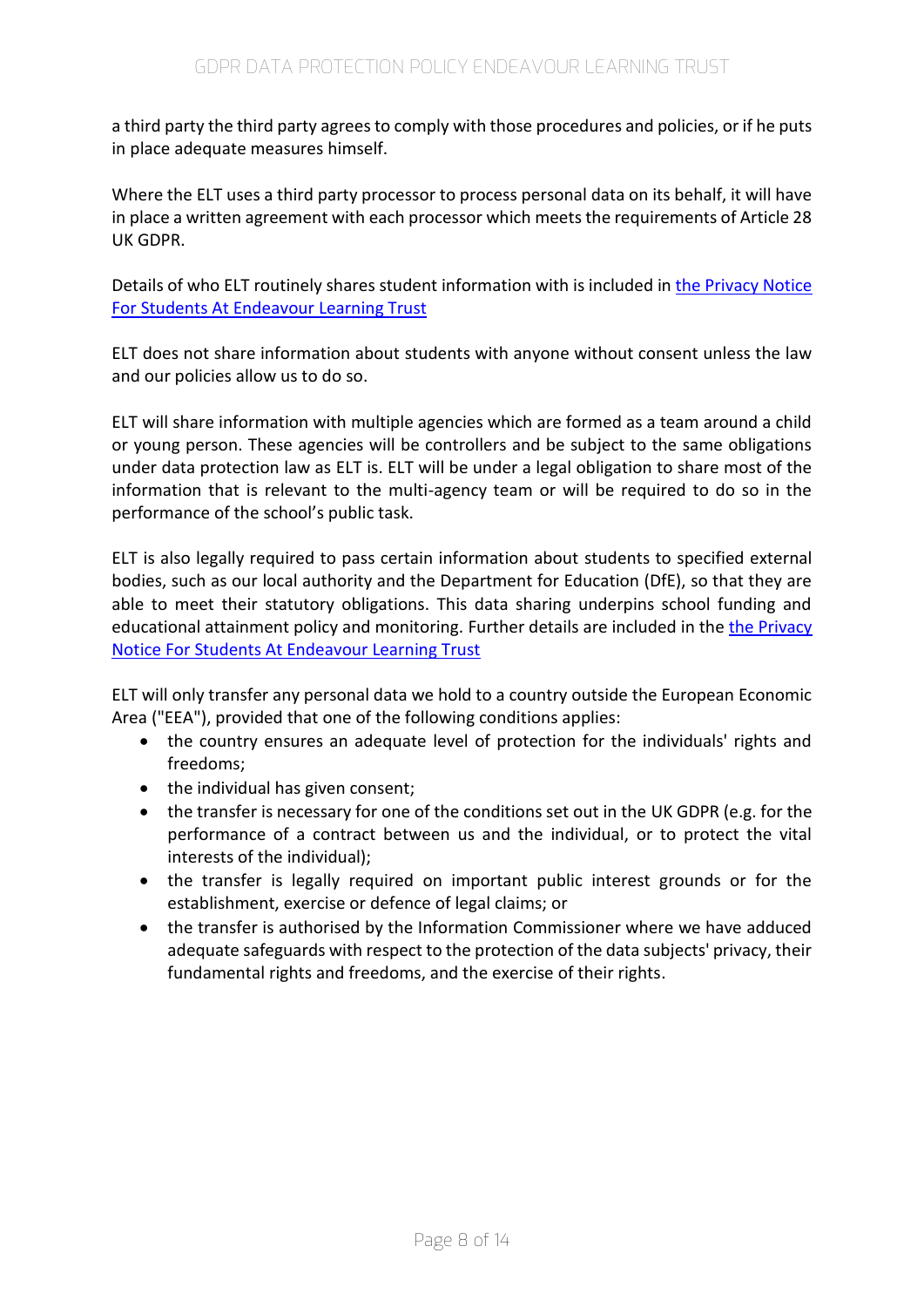a third party the third party agrees to comply with those procedures and policies, or if he puts in place adequate measures himself.

Where the ELT uses a third party processor to process personal data on its behalf, it will have in place a written agreement with each processor which meets the requirements of Article 28 UK GDPR.

Details of who ELT routinely shares student information with is included in [the Privacy Notice](https://endeavourlearning.org/about/trust-policies)  [For Students At Endeavour Learning Trust](https://endeavourlearning.org/about/trust-policies)

ELT does not share information about students with anyone without consent unless the law and our policies allow us to do so.

ELT will share information with multiple agencies which are formed as a team around a child or young person. These agencies will be controllers and be subject to the same obligations under data protection law as ELT is. ELT will be under a legal obligation to share most of the information that is relevant to the multi-agency team or will be required to do so in the performance of the school's public task.

ELT is also legally required to pass certain information about students to specified external bodies, such as our local authority and the Department for Education (DfE), so that they are able to meet their statutory obligations. This data sharing underpins school funding and educational attainment policy and monitoring. Further details are included in the the Privacy [Notice For Students At Endeavour Learning Trust](https://endeavourlearning.org/about/trust-policies)

ELT will only transfer any personal data we hold to a country outside the European Economic Area ("EEA"), provided that one of the following conditions applies:

- the country ensures an adequate level of protection for the individuals' rights and freedoms;
- the individual has given consent;
- the transfer is necessary for one of the conditions set out in the UK GDPR (e.g. for the performance of a contract between us and the individual, or to protect the vital interests of the individual);
- the transfer is legally required on important public interest grounds or for the establishment, exercise or defence of legal claims; or
- the transfer is authorised by the Information Commissioner where we have adduced adequate safeguards with respect to the protection of the data subjects' privacy, their fundamental rights and freedoms, and the exercise of their rights.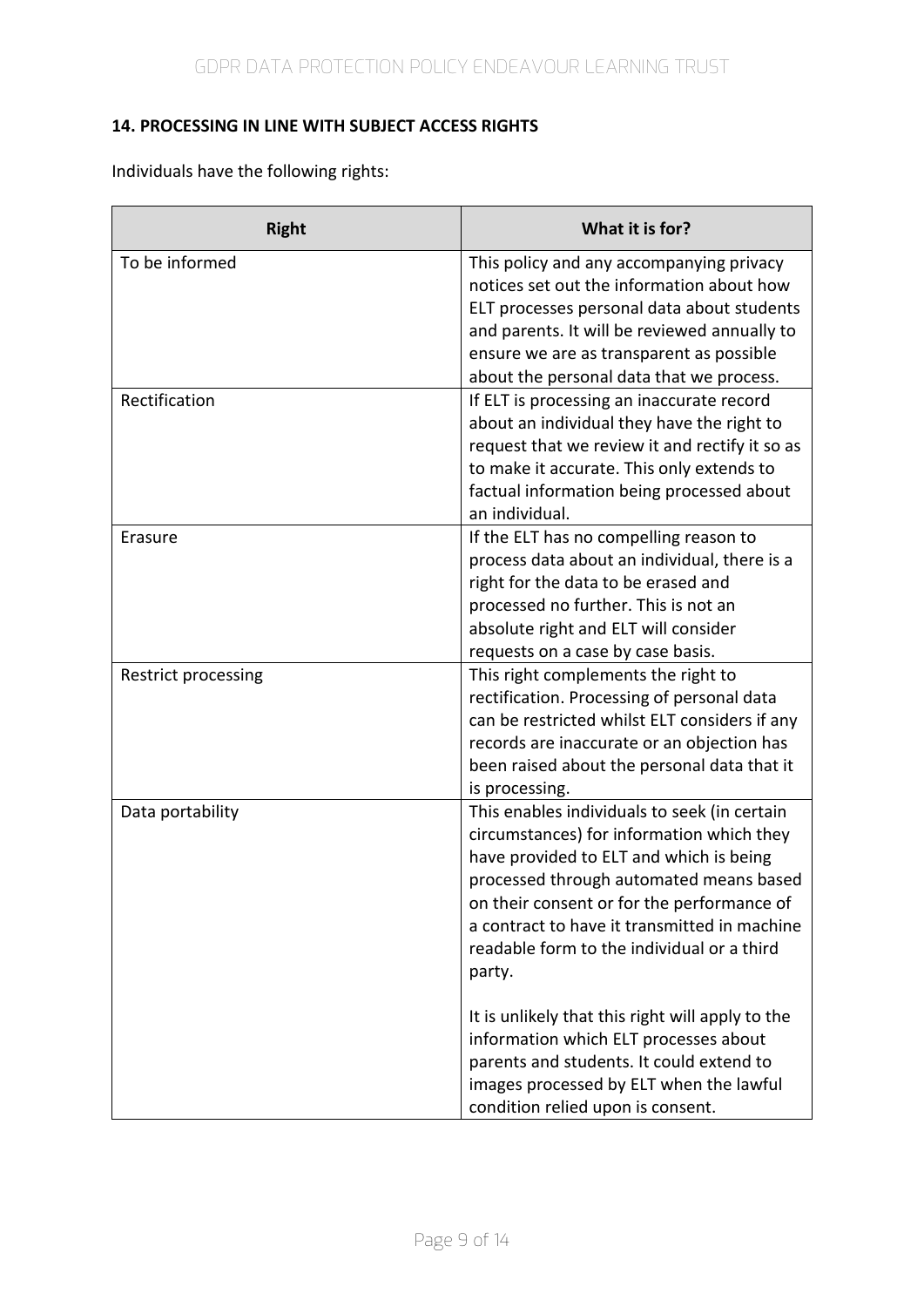# **14. PROCESSING IN LINE WITH SUBJECT ACCESS RIGHTS**

Individuals have the following rights:

| <b>Right</b>        | What it is for?                                                                                                                                                                                                                                                                                                                       |  |  |
|---------------------|---------------------------------------------------------------------------------------------------------------------------------------------------------------------------------------------------------------------------------------------------------------------------------------------------------------------------------------|--|--|
| To be informed      | This policy and any accompanying privacy<br>notices set out the information about how<br>ELT processes personal data about students<br>and parents. It will be reviewed annually to<br>ensure we are as transparent as possible<br>about the personal data that we process.                                                           |  |  |
| Rectification       | If ELT is processing an inaccurate record<br>about an individual they have the right to<br>request that we review it and rectify it so as<br>to make it accurate. This only extends to<br>factual information being processed about<br>an individual.                                                                                 |  |  |
| Erasure             | If the ELT has no compelling reason to<br>process data about an individual, there is a<br>right for the data to be erased and<br>processed no further. This is not an<br>absolute right and ELT will consider<br>requests on a case by case basis.                                                                                    |  |  |
| Restrict processing | This right complements the right to<br>rectification. Processing of personal data<br>can be restricted whilst ELT considers if any<br>records are inaccurate or an objection has<br>been raised about the personal data that it<br>is processing.                                                                                     |  |  |
| Data portability    | This enables individuals to seek (in certain<br>circumstances) for information which they<br>have provided to ELT and which is being<br>processed through automated means based<br>on their consent or for the performance of<br>a contract to have it transmitted in machine<br>readable form to the individual or a third<br>party. |  |  |
|                     | It is unlikely that this right will apply to the<br>information which ELT processes about<br>parents and students. It could extend to<br>images processed by ELT when the lawful<br>condition relied upon is consent.                                                                                                                 |  |  |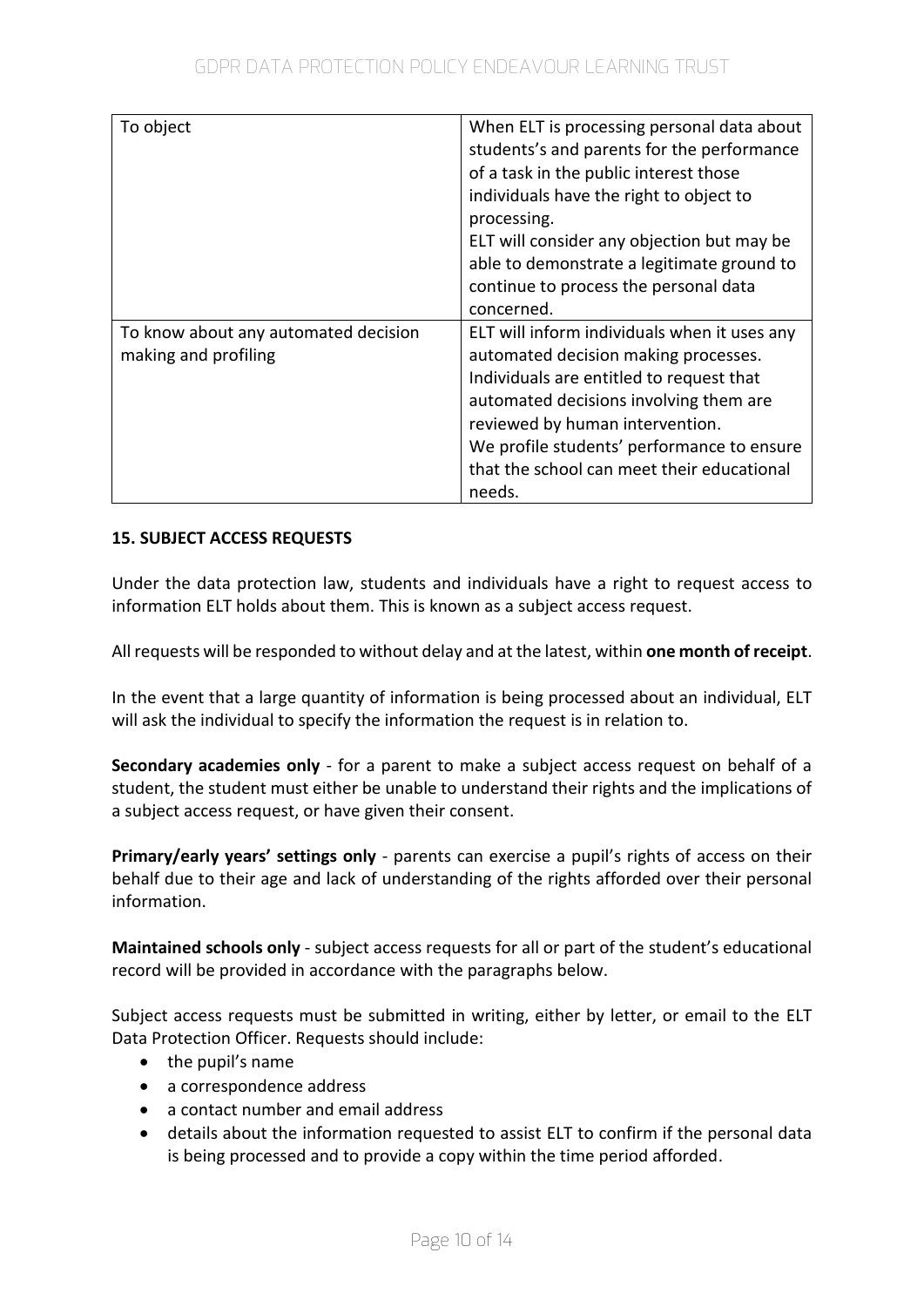| To object                            | When ELT is processing personal data about<br>students's and parents for the performance<br>of a task in the public interest those<br>individuals have the right to object to |
|--------------------------------------|-------------------------------------------------------------------------------------------------------------------------------------------------------------------------------|
|                                      | processing.<br>ELT will consider any objection but may be                                                                                                                     |
|                                      | able to demonstrate a legitimate ground to                                                                                                                                    |
|                                      | continue to process the personal data                                                                                                                                         |
|                                      | concerned.                                                                                                                                                                    |
| To know about any automated decision | ELT will inform individuals when it uses any                                                                                                                                  |
| making and profiling                 | automated decision making processes.                                                                                                                                          |
|                                      | Individuals are entitled to request that                                                                                                                                      |
|                                      | automated decisions involving them are                                                                                                                                        |
|                                      | reviewed by human intervention.                                                                                                                                               |
|                                      | We profile students' performance to ensure                                                                                                                                    |
|                                      | that the school can meet their educational                                                                                                                                    |
|                                      | needs.                                                                                                                                                                        |

## **15. SUBJECT ACCESS REQUESTS**

Under the data protection law, students and individuals have a right to request access to information ELT holds about them. This is known as a subject access request.

All requests will be responded to without delay and at the latest, within **one month of receipt**.

In the event that a large quantity of information is being processed about an individual, ELT will ask the individual to specify the information the request is in relation to.

**Secondary academies only** - for a parent to make a subject access request on behalf of a student, the student must either be unable to understand their rights and the implications of a subject access request, or have given their consent.

**Primary/early years' settings only** - parents can exercise a pupil's rights of access on their behalf due to their age and lack of understanding of the rights afforded over their personal information.

**Maintained schools only** - subject access requests for all or part of the student's educational record will be provided in accordance with the paragraphs below.

Subject access requests must be submitted in writing, either by letter, or email to the ELT Data Protection Officer. Requests should include:

- the pupil's name
- a correspondence address
- a contact number and email address
- details about the information requested to assist ELT to confirm if the personal data is being processed and to provide a copy within the time period afforded.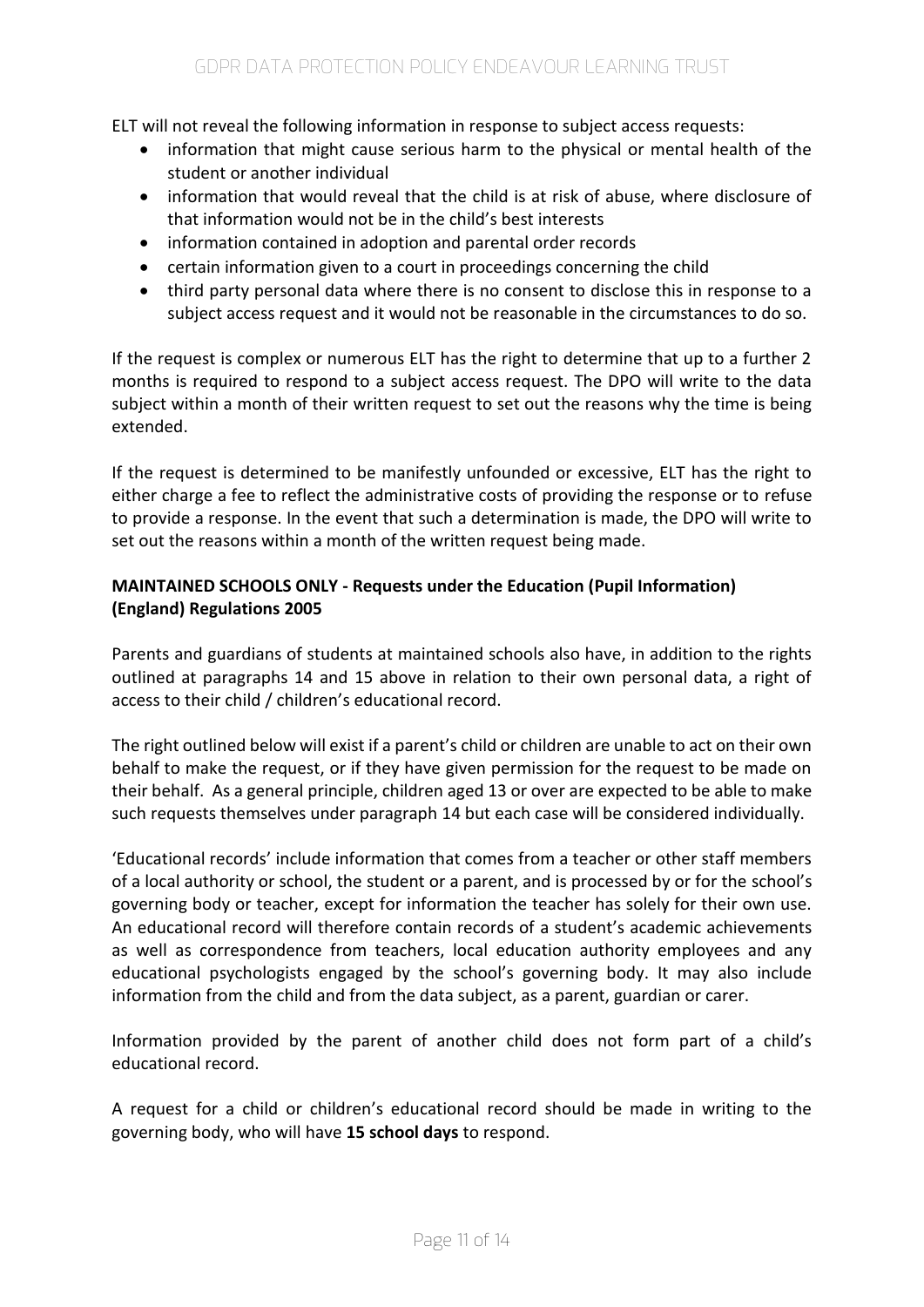ELT will not reveal the following information in response to subject access requests:

- information that might cause serious harm to the physical or mental health of the student or another individual
- information that would reveal that the child is at risk of abuse, where disclosure of that information would not be in the child's best interests
- information contained in adoption and parental order records
- certain information given to a court in proceedings concerning the child
- third party personal data where there is no consent to disclose this in response to a subject access request and it would not be reasonable in the circumstances to do so.

If the request is complex or numerous ELT has the right to determine that up to a further 2 months is required to respond to a subject access request. The DPO will write to the data subject within a month of their written request to set out the reasons why the time is being extended.

If the request is determined to be manifestly unfounded or excessive, ELT has the right to either charge a fee to reflect the administrative costs of providing the response or to refuse to provide a response. In the event that such a determination is made, the DPO will write to set out the reasons within a month of the written request being made.

## **MAINTAINED SCHOOLS ONLY - Requests under the Education (Pupil Information) (England) Regulations 2005**

Parents and guardians of students at maintained schools also have, in addition to the rights outlined at paragraphs 14 and 15 above in relation to their own personal data, a right of access to their child / children's educational record.

The right outlined below will exist if a parent's child or children are unable to act on their own behalf to make the request, or if they have given permission for the request to be made on their behalf. As a general principle, children aged 13 or over are expected to be able to make such requests themselves under paragraph 14 but each case will be considered individually.

'Educational records' include information that comes from a teacher or other staff members of a local authority or school, the student or a parent, and is processed by or for the school's governing body or teacher, except for information the teacher has solely for their own use. An educational record will therefore contain records of a student's academic achievements as well as correspondence from teachers, local education authority employees and any educational psychologists engaged by the school's governing body. It may also include information from the child and from the data subject, as a parent, guardian or carer.

Information provided by the parent of another child does not form part of a child's educational record.

A request for a child or children's educational record should be made in writing to the governing body, who will have **15 school days** to respond.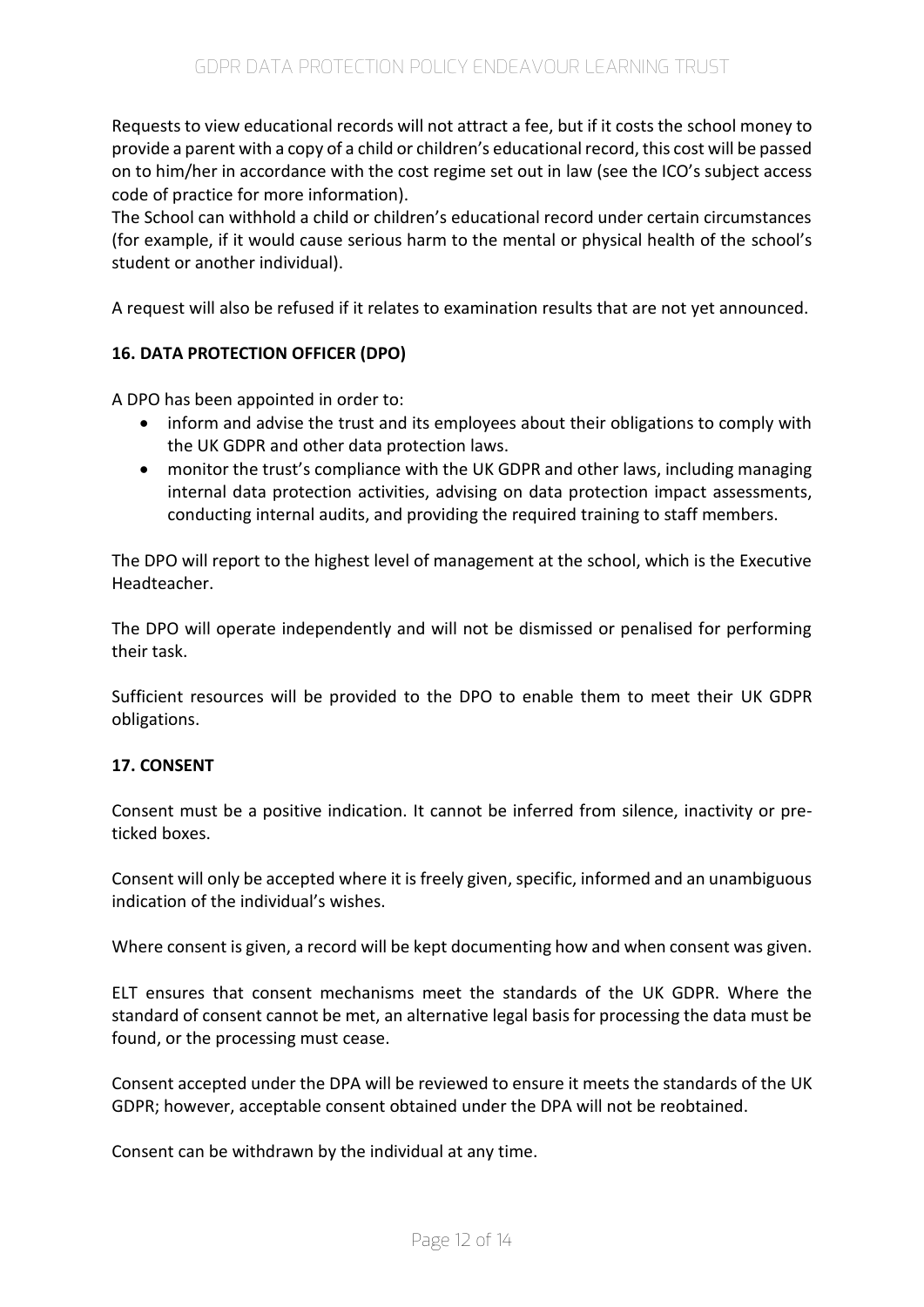Requests to view educational records will not attract a fee, but if it costs the school money to provide a parent with a copy of a child or children's educational record, this cost will be passed on to him/her in accordance with the cost regime set out in law (see the ICO's subject access code of practice for more information).

The School can withhold a child or children's educational record under certain circumstances (for example, if it would cause serious harm to the mental or physical health of the school's student or another individual).

A request will also be refused if it relates to examination results that are not yet announced.

## **16. DATA PROTECTION OFFICER (DPO)**

A DPO has been appointed in order to:

- inform and advise the trust and its employees about their obligations to comply with the UK GDPR and other data protection laws.
- monitor the trust's compliance with the UK GDPR and other laws, including managing internal data protection activities, advising on data protection impact assessments, conducting internal audits, and providing the required training to staff members.

The DPO will report to the highest level of management at the school, which is the Executive Headteacher.

The DPO will operate independently and will not be dismissed or penalised for performing their task.

Sufficient resources will be provided to the DPO to enable them to meet their UK GDPR obligations.

### **17. CONSENT**

Consent must be a positive indication. It cannot be inferred from silence, inactivity or preticked boxes.

Consent will only be accepted where it is freely given, specific, informed and an unambiguous indication of the individual's wishes.

Where consent is given, a record will be kept documenting how and when consent was given.

ELT ensures that consent mechanisms meet the standards of the UK GDPR. Where the standard of consent cannot be met, an alternative legal basis for processing the data must be found, or the processing must cease.

Consent accepted under the DPA will be reviewed to ensure it meets the standards of the UK GDPR; however, acceptable consent obtained under the DPA will not be reobtained.

Consent can be withdrawn by the individual at any time.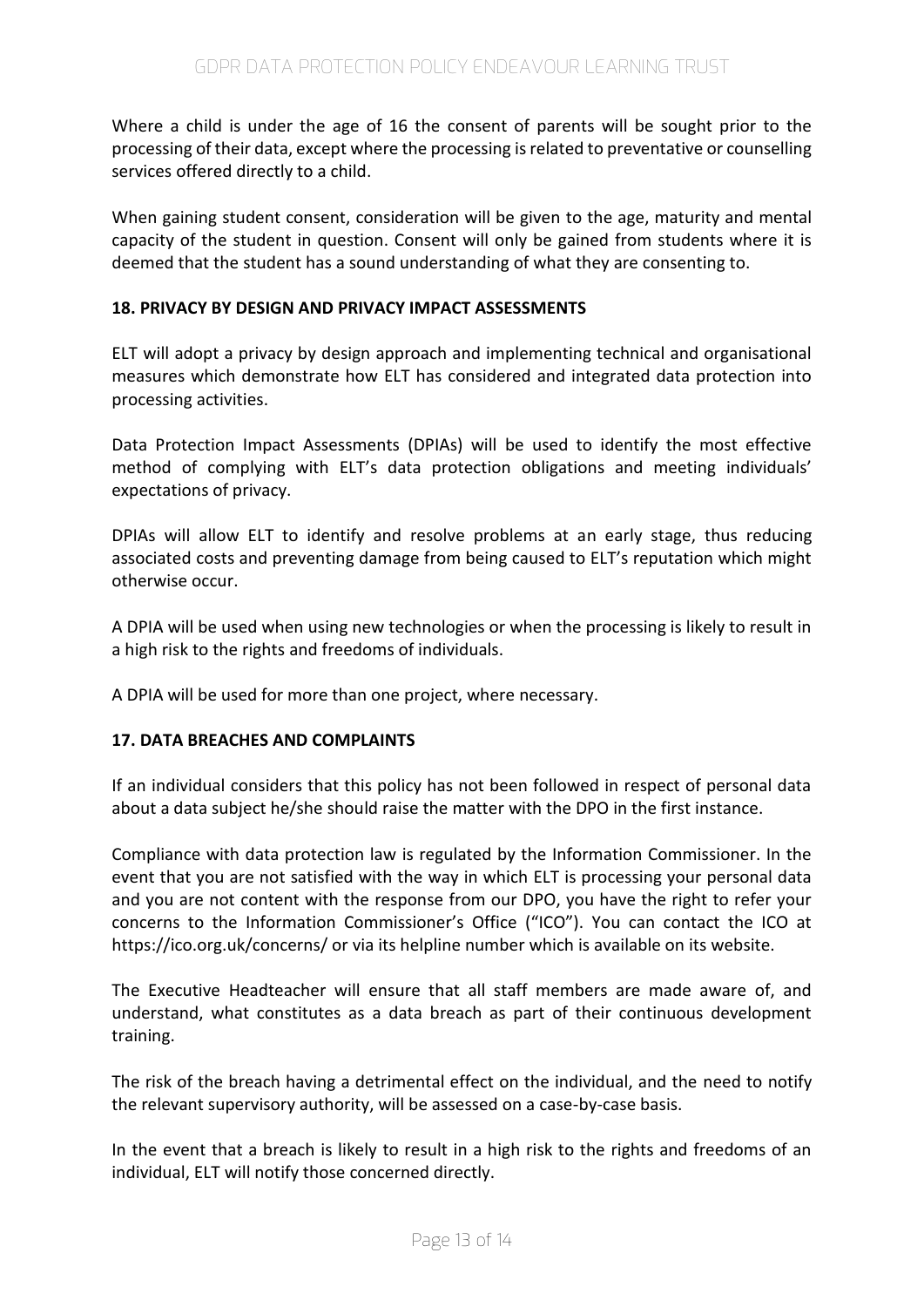Where a child is under the age of 16 the consent of parents will be sought prior to the processing of their data, except where the processing is related to preventative or counselling services offered directly to a child.

When gaining student consent, consideration will be given to the age, maturity and mental capacity of the student in question. Consent will only be gained from students where it is deemed that the student has a sound understanding of what they are consenting to.

## **18. PRIVACY BY DESIGN AND PRIVACY IMPACT ASSESSMENTS**

ELT will adopt a privacy by design approach and implementing technical and organisational measures which demonstrate how ELT has considered and integrated data protection into processing activities.

Data Protection Impact Assessments (DPIAs) will be used to identify the most effective method of complying with ELT's data protection obligations and meeting individuals' expectations of privacy.

DPIAs will allow ELT to identify and resolve problems at an early stage, thus reducing associated costs and preventing damage from being caused to ELT's reputation which might otherwise occur.

A DPIA will be used when using new technologies or when the processing is likely to result in a high risk to the rights and freedoms of individuals.

A DPIA will be used for more than one project, where necessary.

### **17. DATA BREACHES AND COMPLAINTS**

If an individual considers that this policy has not been followed in respect of personal data about a data subject he/she should raise the matter with the DPO in the first instance.

Compliance with data protection law is regulated by the Information Commissioner. In the event that you are not satisfied with the way in which ELT is processing your personal data and you are not content with the response from our DPO, you have the right to refer your concerns to the Information Commissioner's Office ("ICO"). You can contact the ICO at https://ico.org.uk/concerns/ or via its helpline number which is available on its website.

The Executive Headteacher will ensure that all staff members are made aware of, and understand, what constitutes as a data breach as part of their continuous development training.

The risk of the breach having a detrimental effect on the individual, and the need to notify the relevant supervisory authority, will be assessed on a case-by-case basis.

In the event that a breach is likely to result in a high risk to the rights and freedoms of an individual, ELT will notify those concerned directly.